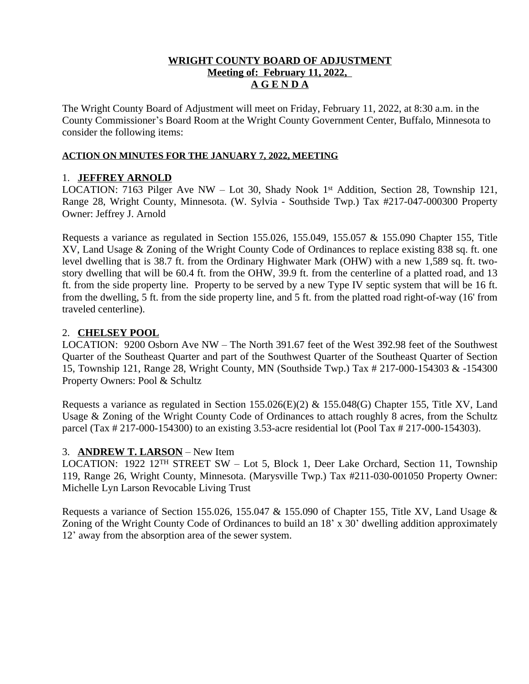### **WRIGHT COUNTY BOARD OF ADJUSTMENT Meeting of: February 11, 2022, A G E N D A**

The Wright County Board of Adjustment will meet on Friday, February 11, 2022, at 8:30 a.m. in the County Commissioner's Board Room at the Wright County Government Center, Buffalo, Minnesota to consider the following items:

### **ACTION ON MINUTES FOR THE JANUARY 7, 2022, MEETING**

# 1. **JEFFREY ARNOLD**

LOCATION: 7163 Pilger Ave NW - Lot 30, Shady Nook 1<sup>st</sup> Addition, Section 28, Township 121, Range 28, Wright County, Minnesota. (W. Sylvia - Southside Twp.) Tax #217-047-000300 Property Owner: Jeffrey J. Arnold

Requests a variance as regulated in Section 155.026, 155.049, 155.057 & 155.090 Chapter 155, Title XV, Land Usage & Zoning of the Wright County Code of Ordinances to replace existing 838 sq. ft. one level dwelling that is 38.7 ft. from the Ordinary Highwater Mark (OHW) with a new 1,589 sq. ft. twostory dwelling that will be 60.4 ft. from the OHW, 39.9 ft. from the centerline of a platted road, and 13 ft. from the side property line. Property to be served by a new Type IV septic system that will be 16 ft. from the dwelling, 5 ft. from the side property line, and 5 ft. from the platted road right-of-way (16' from traveled centerline).

# 2. **CHELSEY POOL**

LOCATION: 9200 Osborn Ave NW – The North 391.67 feet of the West 392.98 feet of the Southwest Quarter of the Southeast Quarter and part of the Southwest Quarter of the Southeast Quarter of Section 15, Township 121, Range 28, Wright County, MN (Southside Twp.) Tax # 217-000-154303 & -154300 Property Owners: Pool & Schultz

Requests a variance as regulated in Section 155.026(E)(2) & 155.048(G) Chapter 155, Title XV, Land Usage & Zoning of the Wright County Code of Ordinances to attach roughly 8 acres, from the Schultz parcel (Tax # 217-000-154300) to an existing 3.53-acre residential lot (Pool Tax # 217-000-154303).

# 3. **ANDREW T. LARSON** – New Item

LOCATION: 1922 12TH STREET SW – Lot 5, Block 1, Deer Lake Orchard, Section 11, Township 119, Range 26, Wright County, Minnesota. (Marysville Twp.) Tax #211-030-001050 Property Owner: Michelle Lyn Larson Revocable Living Trust

Requests a variance of Section 155.026, 155.047 & 155.090 of Chapter 155, Title XV, Land Usage & Zoning of the Wright County Code of Ordinances to build an 18' x 30' dwelling addition approximately 12' away from the absorption area of the sewer system.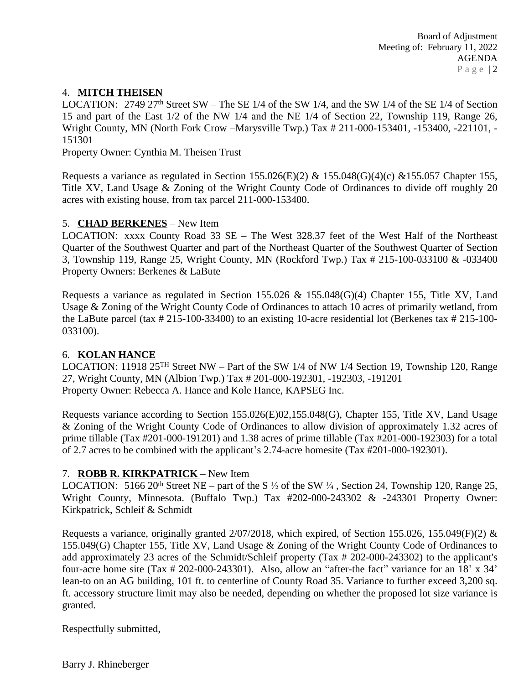# 4. **MITCH THEISEN**

LOCATION:  $2749\,27<sup>th</sup>$  Street SW – The SE 1/4 of the SW 1/4, and the SW 1/4 of the SE 1/4 of Section 15 and part of the East 1/2 of the NW 1/4 and the NE 1/4 of Section 22, Township 119, Range 26, Wright County, MN (North Fork Crow –Marysville Twp.) Tax # 211-000-153401, -153400, -221101, - 151301

Property Owner: Cynthia M. Theisen Trust

Requests a variance as regulated in Section 155.026(E)(2) & 155.048(G)(4)(c) & 155.057 Chapter 155, Title XV, Land Usage & Zoning of the Wright County Code of Ordinances to divide off roughly 20 acres with existing house, from tax parcel 211-000-153400.

### 5. **CHAD BERKENES** – New Item

LOCATION: xxxx County Road 33 SE – The West 328.37 feet of the West Half of the Northeast Quarter of the Southwest Quarter and part of the Northeast Quarter of the Southwest Quarter of Section 3, Township 119, Range 25, Wright County, MN (Rockford Twp.) Tax # 215-100-033100 & -033400 Property Owners: Berkenes & LaBute

Requests a variance as regulated in Section 155.026 & 155.048(G)(4) Chapter 155, Title XV, Land Usage & Zoning of the Wright County Code of Ordinances to attach 10 acres of primarily wetland, from the LaBute parcel (tax # 215-100-33400) to an existing 10-acre residential lot (Berkenes tax # 215-100- 033100).

#### 6. **KOLAN HANCE**

LOCATION: 11918 25TH Street NW – Part of the SW 1/4 of NW 1/4 Section 19, Township 120, Range 27, Wright County, MN (Albion Twp.) Tax # 201-000-192301, -192303, -191201 Property Owner: Rebecca A. Hance and Kole Hance, KAPSEG Inc.

Requests variance according to Section 155.026(E)02,155.048(G), Chapter 155, Title XV, Land Usage & Zoning of the Wright County Code of Ordinances to allow division of approximately 1.32 acres of prime tillable (Tax #201-000-191201) and 1.38 acres of prime tillable (Tax #201-000-192303) for a total of 2.7 acres to be combined with the applicant's 2.74-acre homesite (Tax #201-000-192301).

#### 7. **ROBB R. KIRKPATRICK** – New Item

LOCATION: 5166 20<sup>th</sup> Street NE – part of the S  $\frac{1}{2}$  of the SW  $\frac{1}{4}$ , Section 24, Township 120, Range 25, Wright County, Minnesota. (Buffalo Twp.) Tax #202-000-243302 & -243301 Property Owner: Kirkpatrick, Schleif & Schmidt

Requests a variance, originally granted  $2/07/2018$ , which expired, of Section 155.026, 155.049(F)(2) & 155.049(G) Chapter 155, Title XV, Land Usage & Zoning of the Wright County Code of Ordinances to add approximately 23 acres of the Schmidt/Schleif property (Tax # 202-000-243302) to the applicant's four-acre home site (Tax # 202-000-243301). Also, allow an "after-the fact" variance for an 18' x 34' lean-to on an AG building, 101 ft. to centerline of County Road 35. Variance to further exceed 3,200 sq. ft. accessory structure limit may also be needed, depending on whether the proposed lot size variance is granted.

Respectfully submitted,

Barry J. Rhineberger